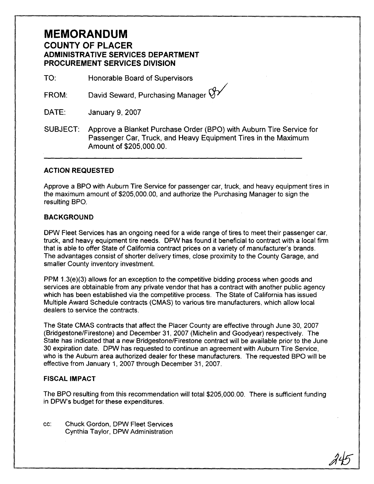## **MEMORANDUM COUNTY OF PLACER ADMINISTRATIVE SERVICES DEPARTMENT PROCUREMENT SERVICES DIVISION**

TO: Honorable Board of Supervisors

David Seward, Purchasing Manager  $\bigtriangledown$ **FROM:** 

DATE: January 9,2007

SUBJECT: Approve a Blanket Purchase Order (BPO) with Auburn Tire Service for Passenger Car, Truck, and Heavy Equipment Tires in the Maximum Amount of \$205,000.00.

## **ACTION REQUESTED**

Approve a BPO with Auburn Tire Service for passenger car, truck, and heavy equipment tires in the maximum amount of \$205,000.00, and authorize the Purchasing Manager to sign the resulting BPO,

## **BACKGROUND**

DPW Fleet Services has an ongoing need for a wide range of tires to meet their passenger car, truck, and heavy equipment tire needs. DPW has found it beneficial to contract with a local firm that is able to offer State of California contract prices on a variety of manufacturer's brands. The advantages consist of shorter delivery times, close proximity to the County Garage, and smaller County inventory investment.

PPM 1.3(e)(3) allows for an exception to the competitive bidding process when goods and services are obtainable from any private vendor that has a contract with another public agency which has been established via the competitive process. The State of California has issued Multiple Award Schedule contracts (CMAS) to various tire manufacturers, which allow local dealers to service the contracts.

The State CMAS contracts that affect the Placer County are effective through June 30, 2007 (Bridgestone/Firestone) and December 31, 2007 (Michelin and Goodyear) respectively. The State has indicated that a new Bridgestone/Firestone contract will be available prior to the June 30 expiration date. DPW has requested to continue an agreement with Auburn Tire Service, who is the Auburn area authorized dealer for these manufacturers. The requested BPO will be effective from January 1, 2007 through December 31, 2007.

## **FISCAL IMPACT**

The BPO resulting from this recommendation will total \$205,000.00. There is sufficient funding in DPW's budget for these expenditures.

cc: Chuck Gordon, DPW Fleet Services Cynthia Taylor, DPW Administration